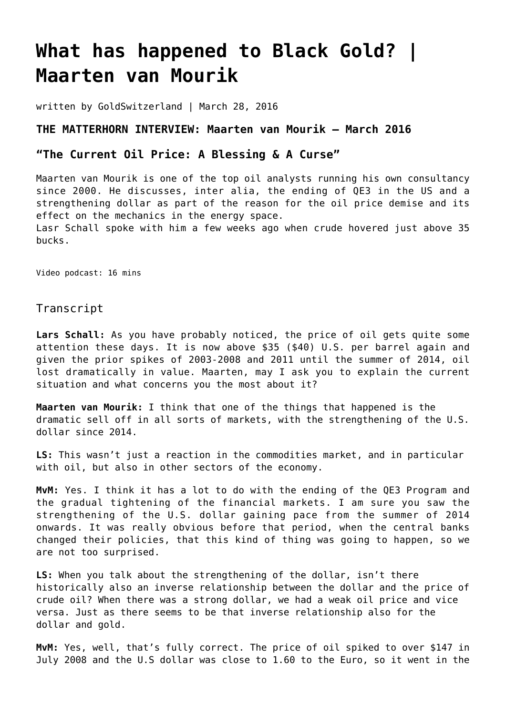## **[What has happened to Black Gold? |](https://goldswitzerland.com/what-has-happened-to-black-gold-maarten-van-mourik/) [Maarten van Mourik](https://goldswitzerland.com/what-has-happened-to-black-gold-maarten-van-mourik/)**

written by GoldSwitzerland | March 28, 2016

## **THE MATTERHORN INTERVIEW: Maarten van Mourik – March 2016**

## **"The Current Oil Price: A Blessing & A Curse"**

Maarten van Mourik is one of the top oil analysts running his own consultancy since 2000. He discusses, inter alia, the ending of QE3 in the US and a strengthening dollar as part of the reason for the oil price demise and its effect on the mechanics in the energy space.

Lasr Schall spoke with him a few weeks ago when crude hovered just above 35 bucks.

Video podcast: 16 mins

Transcript

Lars Schall: As you have probably noticed, the price of oil gets quite some attention these days. It is now above \$35 (\$40) U.S. per barrel again and given the prior spikes of 2003-2008 and 2011 until the summer of 2014, oil lost dramatically in value. Maarten, may I ask you to explain the current situation and what concerns you the most about it?

**Maarten van Mourik:** I think that one of the things that happened is the dramatic sell off in all sorts of markets, with the strengthening of the U.S. dollar since 2014.

**LS:** This wasn't just a reaction in the commodities market, and in particular with oil, but also in other sectors of the economy.

**MvM:** Yes. I think it has a lot to do with the ending of the QE3 Program and the gradual tightening of the financial markets. I am sure you saw the strengthening of the U.S. dollar gaining pace from the summer of 2014 onwards. It was really obvious before that period, when the central banks changed their policies, that this kind of thing was going to happen, so we are not too surprised.

**LS:** When you talk about the strengthening of the dollar, isn't there historically also an inverse relationship between the dollar and the price of crude oil? When there was a strong dollar, we had a weak oil price and vice versa. Just as there seems to be that inverse relationship also for the dollar and gold.

**MvM:** Yes, well, that's fully correct. The price of oil spiked to over \$147 in July 2008 and the U.S dollar was close to 1.60 to the Euro, so it went in the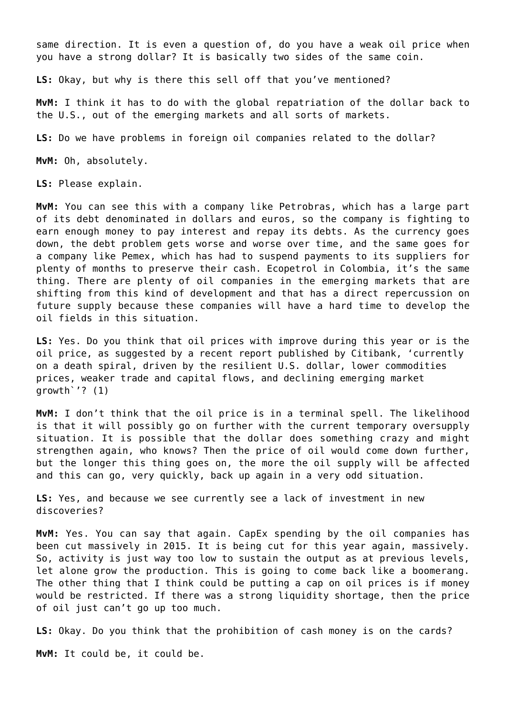same direction. It is even a question of, do you have a weak oil price when you have a strong dollar? It is basically two sides of the same coin.

**LS:** Okay, but why is there this sell off that you've mentioned?

**MvM:** I think it has to do with the global repatriation of the dollar back to the U.S., out of the emerging markets and all sorts of markets.

**LS:** Do we have problems in foreign oil companies related to the dollar?

**MvM:** Oh, absolutely.

**LS:** Please explain.

**MvM:** You can see this with a company like Petrobras, which has a large part of its debt denominated in dollars and euros, so the company is fighting to earn enough money to pay interest and repay its debts. As the currency goes down, the debt problem gets worse and worse over time, and the same goes for a company like Pemex, which has had to suspend payments to its suppliers for plenty of months to preserve their cash. Ecopetrol in Colombia, it's the same thing. There are plenty of oil companies in the emerging markets that are shifting from this kind of development and that has a direct repercussion on future supply because these companies will have a hard time to develop the oil fields in this situation.

**LS:** Yes. Do you think that oil prices with improve during this year or is the oil price, as suggested by a recent report published by Citibank, 'currently on a death spiral, driven by the resilient U.S. dollar, lower commodities prices, weaker trade and capital flows, and declining emerging market growth`'? (1)

**MvM:** I don't think that the oil price is in a terminal spell. The likelihood is that it will possibly go on further with the current temporary oversupply situation. It is possible that the dollar does something crazy and might strengthen again, who knows? Then the price of oil would come down further, but the longer this thing goes on, the more the oil supply will be affected and this can go, very quickly, back up again in a very odd situation.

**LS:** Yes, and because we see currently see a lack of investment in new discoveries?

**MvM:** Yes. You can say that again. CapEx spending by the oil companies has been cut massively in 2015. It is being cut for this year again, massively. So, activity is just way too low to sustain the output as at previous levels, let alone grow the production. This is going to come back like a boomerang. The other thing that I think could be putting a cap on oil prices is if money would be restricted. If there was a strong liquidity shortage, then the price of oil just can't go up too much.

**LS:** Okay. Do you think that the prohibition of cash money is on the cards? **MvM:** It could be, it could be.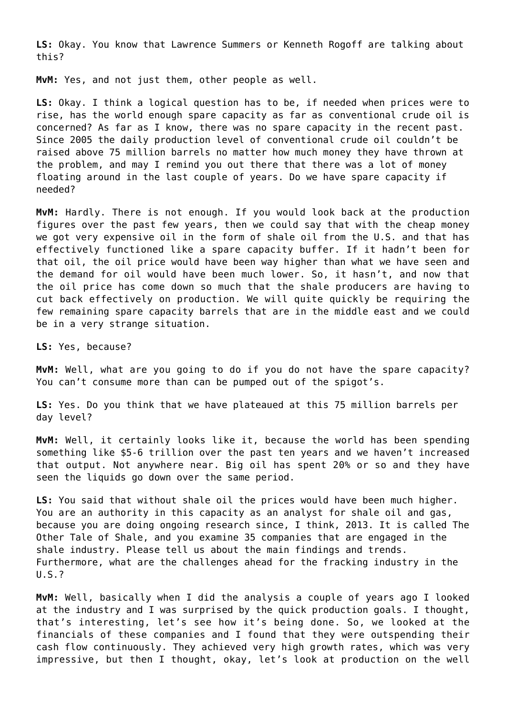**LS:** Okay. You know that Lawrence Summers or Kenneth Rogoff are talking about this?

**MvM:** Yes, and not just them, other people as well.

**LS:** Okay. I think a logical question has to be, if needed when prices were to rise, has the world enough spare capacity as far as conventional crude oil is concerned? As far as I know, there was no spare capacity in the recent past. Since 2005 the daily production level of conventional crude oil couldn't be raised above 75 million barrels no matter how much money they have thrown at the problem, and may I remind you out there that there was a lot of money floating around in the last couple of years. Do we have spare capacity if needed?

**MvM:** Hardly. There is not enough. If you would look back at the production figures over the past few years, then we could say that with the cheap money we got very expensive oil in the form of shale oil from the U.S. and that has effectively functioned like a spare capacity buffer. If it hadn't been for that oil, the oil price would have been way higher than what we have seen and the demand for oil would have been much lower. So, it hasn't, and now that the oil price has come down so much that the shale producers are having to cut back effectively on production. We will quite quickly be requiring the few remaining spare capacity barrels that are in the middle east and we could be in a very strange situation.

**LS:** Yes, because?

**MvM:** Well, what are you going to do if you do not have the spare capacity? You can't consume more than can be pumped out of the spigot's.

**LS:** Yes. Do you think that we have plateaued at this 75 million barrels per day level?

**MvM:** Well, it certainly looks like it, because the world has been spending something like \$5-6 trillion over the past ten years and we haven't increased that output. Not anywhere near. Big oil has spent 20% or so and they have seen the liquids go down over the same period.

**LS:** You said that without shale oil the prices would have been much higher. You are an authority in this capacity as an analyst for shale oil and gas, because you are doing ongoing research since, I think, 2013. It is called The Other Tale of Shale, and you examine 35 companies that are engaged in the shale industry. Please tell us about the main findings and trends. Furthermore, what are the challenges ahead for the fracking industry in the U.S.?

**MvM:** Well, basically when I did the analysis a couple of years ago I looked at the industry and I was surprised by the quick production goals. I thought, that's interesting, let's see how it's being done. So, we looked at the financials of these companies and I found that they were outspending their cash flow continuously. They achieved very high growth rates, which was very impressive, but then I thought, okay, let's look at production on the well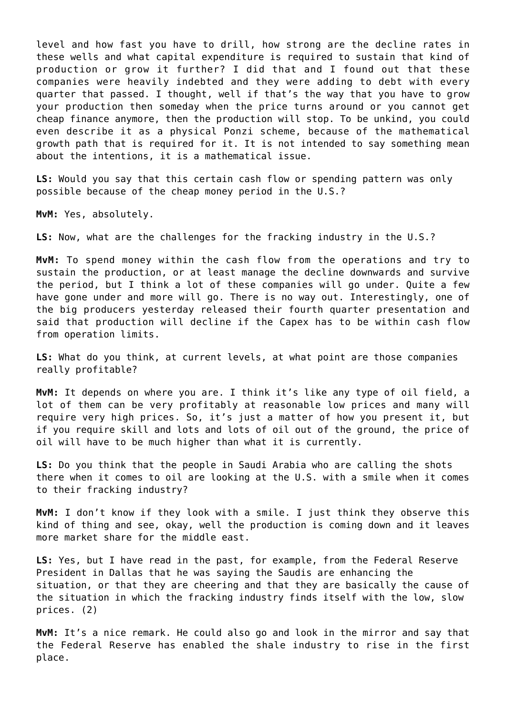level and how fast you have to drill, how strong are the decline rates in these wells and what capital expenditure is required to sustain that kind of production or grow it further? I did that and I found out that these companies were heavily indebted and they were adding to debt with every quarter that passed. I thought, well if that's the way that you have to grow your production then someday when the price turns around or you cannot get cheap finance anymore, then the production will stop. To be unkind, you could even describe it as a physical Ponzi scheme, because of the mathematical growth path that is required for it. It is not intended to say something mean about the intentions, it is a mathematical issue.

**LS:** Would you say that this certain cash flow or spending pattern was only possible because of the cheap money period in the U.S.?

**MvM:** Yes, absolutely.

**LS:** Now, what are the challenges for the fracking industry in the U.S.?

**MvM:** To spend money within the cash flow from the operations and try to sustain the production, or at least manage the decline downwards and survive the period, but I think a lot of these companies will go under. Quite a few have gone under and more will go. There is no way out. Interestingly, one of the big producers yesterday released their fourth quarter presentation and said that production will decline if the Capex has to be within cash flow from operation limits.

**LS:** What do you think, at current levels, at what point are those companies really profitable?

**MvM:** It depends on where you are. I think it's like any type of oil field, a lot of them can be very profitably at reasonable low prices and many will require very high prices. So, it's just a matter of how you present it, but if you require skill and lots and lots of oil out of the ground, the price of oil will have to be much higher than what it is currently.

**LS:** Do you think that the people in Saudi Arabia who are calling the shots there when it comes to oil are looking at the U.S. with a smile when it comes to their fracking industry?

**MvM:** I don't know if they look with a smile. I just think they observe this kind of thing and see, okay, well the production is coming down and it leaves more market share for the middle east.

**LS:** Yes, but I have read in the past, for example, from the Federal Reserve President in Dallas that he was saying the Saudis are enhancing the situation, or that they are cheering and that they are basically the cause of the situation in which the fracking industry finds itself with the low, slow prices. (2)

**MvM:** It's a nice remark. He could also go and look in the mirror and say that the Federal Reserve has enabled the shale industry to rise in the first place.